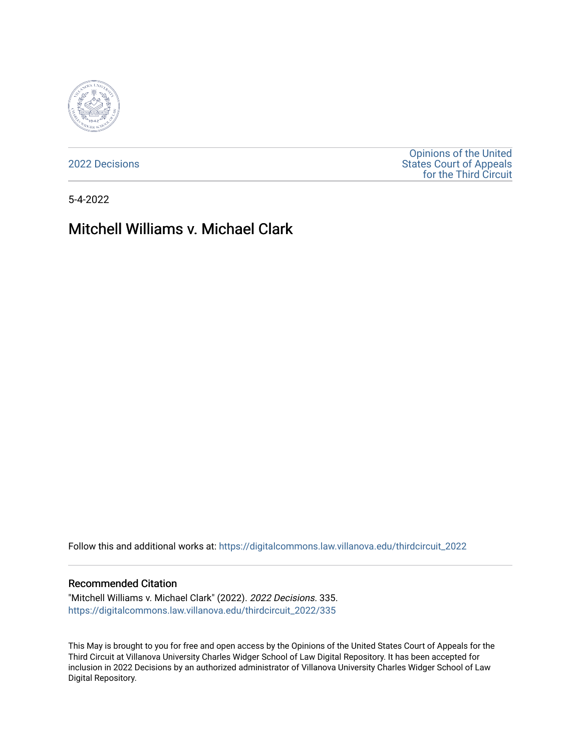

[2022 Decisions](https://digitalcommons.law.villanova.edu/thirdcircuit_2022)

[Opinions of the United](https://digitalcommons.law.villanova.edu/thirdcircuit)  [States Court of Appeals](https://digitalcommons.law.villanova.edu/thirdcircuit)  [for the Third Circuit](https://digitalcommons.law.villanova.edu/thirdcircuit) 

5-4-2022

# Mitchell Williams v. Michael Clark

Follow this and additional works at: [https://digitalcommons.law.villanova.edu/thirdcircuit\\_2022](https://digitalcommons.law.villanova.edu/thirdcircuit_2022?utm_source=digitalcommons.law.villanova.edu%2Fthirdcircuit_2022%2F335&utm_medium=PDF&utm_campaign=PDFCoverPages) 

### Recommended Citation

"Mitchell Williams v. Michael Clark" (2022). 2022 Decisions. 335. [https://digitalcommons.law.villanova.edu/thirdcircuit\\_2022/335](https://digitalcommons.law.villanova.edu/thirdcircuit_2022/335?utm_source=digitalcommons.law.villanova.edu%2Fthirdcircuit_2022%2F335&utm_medium=PDF&utm_campaign=PDFCoverPages)

This May is brought to you for free and open access by the Opinions of the United States Court of Appeals for the Third Circuit at Villanova University Charles Widger School of Law Digital Repository. It has been accepted for inclusion in 2022 Decisions by an authorized administrator of Villanova University Charles Widger School of Law Digital Repository.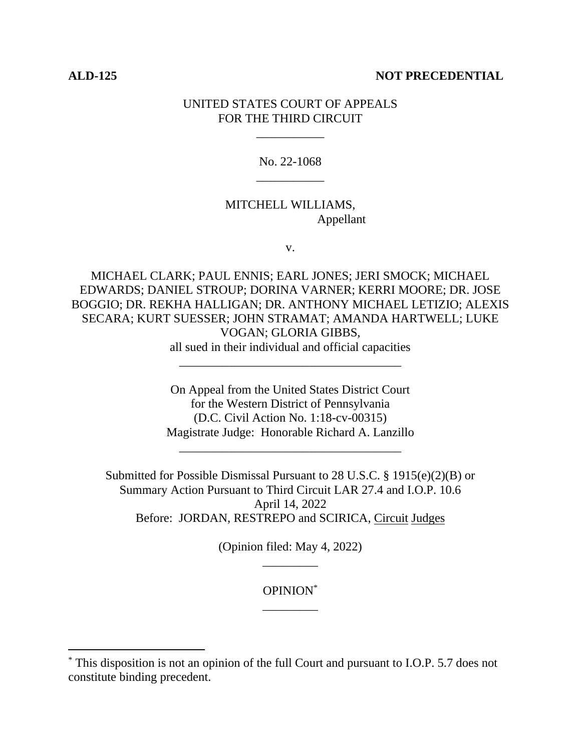### **ALD-125 NOT PRECEDENTIAL**

# UNITED STATES COURT OF APPEALS FOR THE THIRD CIRCUIT

\_\_\_\_\_\_\_\_\_\_\_

# No. 22-1068 \_\_\_\_\_\_\_\_\_\_\_

## MITCHELL WILLIAMS, Appellant

v.

MICHAEL CLARK; PAUL ENNIS; EARL JONES; JERI SMOCK; MICHAEL EDWARDS; DANIEL STROUP; DORINA VARNER; KERRI MOORE; DR. JOSE BOGGIO; DR. REKHA HALLIGAN; DR. ANTHONY MICHAEL LETIZIO; ALEXIS SECARA; KURT SUESSER; JOHN STRAMAT; AMANDA HARTWELL; LUKE VOGAN; GLORIA GIBBS, all sued in their individual and official capacities

\_\_\_\_\_\_\_\_\_\_\_\_\_\_\_\_\_\_\_\_\_\_\_\_\_\_\_\_\_\_\_\_\_\_\_\_

On Appeal from the United States District Court for the Western District of Pennsylvania (D.C. Civil Action No. 1:18-cv-00315) Magistrate Judge: Honorable Richard A. Lanzillo

\_\_\_\_\_\_\_\_\_\_\_\_\_\_\_\_\_\_\_\_\_\_\_\_\_\_\_\_\_\_\_\_\_\_\_\_

Submitted for Possible Dismissal Pursuant to 28 U.S.C. § 1915(e)(2)(B) or Summary Action Pursuant to Third Circuit LAR 27.4 and I.O.P. 10.6 April 14, 2022 Before: JORDAN, RESTREPO and SCIRICA, Circuit Judges

> (Opinion filed: May 4, 2022) \_\_\_\_\_\_\_\_\_

> > OPINION\* \_\_\_\_\_\_\_\_\_

<sup>\*</sup> This disposition is not an opinion of the full Court and pursuant to I.O.P. 5.7 does not constitute binding precedent.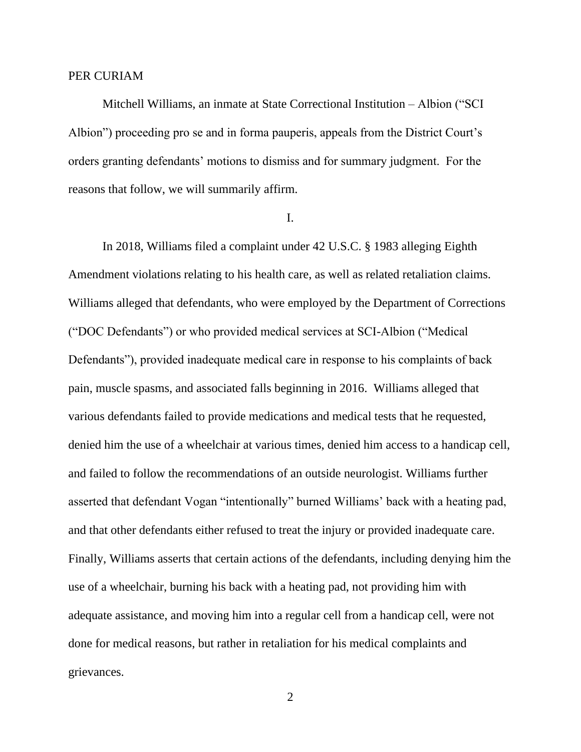### PER CURIAM

Mitchell Williams, an inmate at State Correctional Institution – Albion ("SCI Albion") proceeding pro se and in forma pauperis, appeals from the District Court's orders granting defendants' motions to dismiss and for summary judgment. For the reasons that follow, we will summarily affirm.

### I.

In 2018, Williams filed a complaint under 42 U.S.C. § 1983 alleging Eighth Amendment violations relating to his health care, as well as related retaliation claims. Williams alleged that defendants, who were employed by the Department of Corrections ("DOC Defendants") or who provided medical services at SCI-Albion ("Medical Defendants"), provided inadequate medical care in response to his complaints of back pain, muscle spasms, and associated falls beginning in 2016. Williams alleged that various defendants failed to provide medications and medical tests that he requested, denied him the use of a wheelchair at various times, denied him access to a handicap cell, and failed to follow the recommendations of an outside neurologist. Williams further asserted that defendant Vogan "intentionally" burned Williams' back with a heating pad, and that other defendants either refused to treat the injury or provided inadequate care. Finally, Williams asserts that certain actions of the defendants, including denying him the use of a wheelchair, burning his back with a heating pad, not providing him with adequate assistance, and moving him into a regular cell from a handicap cell, were not done for medical reasons, but rather in retaliation for his medical complaints and grievances.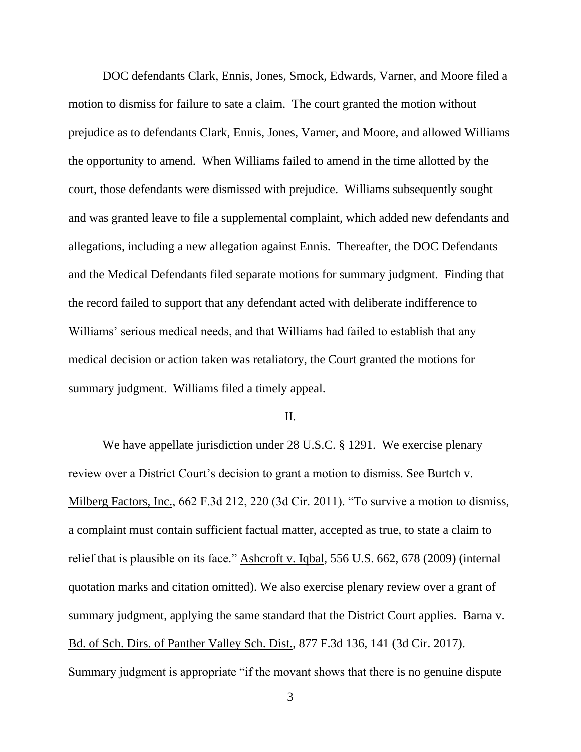DOC defendants Clark, Ennis, Jones, Smock, Edwards, Varner, and Moore filed a motion to dismiss for failure to sate a claim. The court granted the motion without prejudice as to defendants Clark, Ennis, Jones, Varner, and Moore, and allowed Williams the opportunity to amend. When Williams failed to amend in the time allotted by the court, those defendants were dismissed with prejudice. Williams subsequently sought and was granted leave to file a supplemental complaint, which added new defendants and allegations, including a new allegation against Ennis. Thereafter, the DOC Defendants and the Medical Defendants filed separate motions for summary judgment. Finding that the record failed to support that any defendant acted with deliberate indifference to Williams' serious medical needs, and that Williams had failed to establish that any medical decision or action taken was retaliatory, the Court granted the motions for summary judgment. Williams filed a timely appeal.

### II.

We have appellate jurisdiction under 28 U.S.C. § 1291. We exercise plenary review over a District Court's decision to grant a motion to dismiss. See Burtch v. Milberg Factors, Inc., 662 F.3d 212, 220 (3d Cir. 2011). "To survive a motion to dismiss, a complaint must contain sufficient factual matter, accepted as true, to state a claim to relief that is plausible on its face." Ashcroft v. Iqbal, 556 U.S. 662, 678 (2009) (internal quotation marks and citation omitted). We also exercise plenary review over a grant of summary judgment, applying the same standard that the District Court applies. Barna v. Bd. of Sch. Dirs. of Panther Valley Sch. Dist., 877 F.3d 136, 141 (3d Cir. 2017). Summary judgment is appropriate "if the movant shows that there is no genuine dispute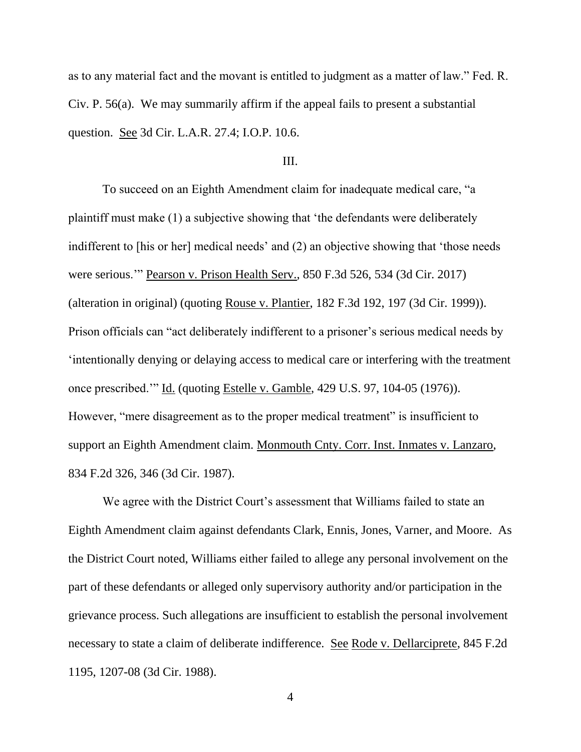as to any material fact and the movant is entitled to judgment as a matter of law." Fed. R. Civ. P. 56(a). We may summarily affirm if the appeal fails to present a substantial question. See 3d Cir. L.A.R. 27.4; I.O.P. 10.6.

### III.

To succeed on an Eighth Amendment claim for inadequate medical care, "a plaintiff must make (1) a subjective showing that 'the defendants were deliberately indifferent to [his or her] medical needs' and (2) an objective showing that 'those needs were serious.'" Pearson v. Prison Health Serv., 850 F.3d 526, 534 (3d Cir. 2017) (alteration in original) (quoting Rouse v. Plantier, 182 F.3d 192, 197 (3d Cir. 1999)). Prison officials can "act deliberately indifferent to a prisoner's serious medical needs by 'intentionally denying or delaying access to medical care or interfering with the treatment once prescribed.'" Id. (quoting Estelle v. Gamble, 429 U.S. 97, 104-05 (1976)). However, "mere disagreement as to the proper medical treatment" is insufficient to support an Eighth Amendment claim. Monmouth Cnty. Corr. Inst. Inmates v. Lanzaro, 834 F.2d 326, 346 (3d Cir. 1987).

We agree with the District Court's assessment that Williams failed to state an Eighth Amendment claim against defendants Clark, Ennis, Jones, Varner, and Moore. As the District Court noted, Williams either failed to allege any personal involvement on the part of these defendants or alleged only supervisory authority and/or participation in the grievance process. Such allegations are insufficient to establish the personal involvement necessary to state a claim of deliberate indifference. See Rode v. Dellarciprete, 845 F.2d 1195, 1207-08 (3d Cir. 1988).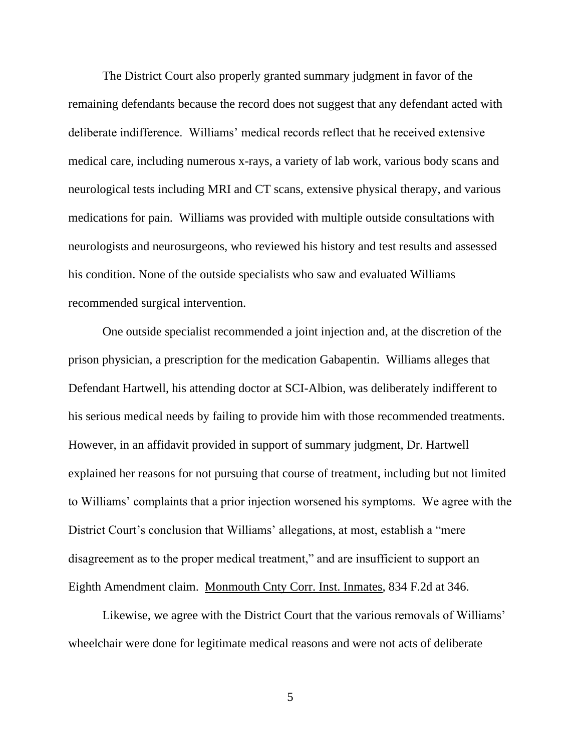The District Court also properly granted summary judgment in favor of the remaining defendants because the record does not suggest that any defendant acted with deliberate indifference. Williams' medical records reflect that he received extensive medical care, including numerous x-rays, a variety of lab work, various body scans and neurological tests including MRI and CT scans, extensive physical therapy, and various medications for pain. Williams was provided with multiple outside consultations with neurologists and neurosurgeons, who reviewed his history and test results and assessed his condition. None of the outside specialists who saw and evaluated Williams recommended surgical intervention.

One outside specialist recommended a joint injection and, at the discretion of the prison physician, a prescription for the medication Gabapentin. Williams alleges that Defendant Hartwell, his attending doctor at SCI-Albion, was deliberately indifferent to his serious medical needs by failing to provide him with those recommended treatments. However, in an affidavit provided in support of summary judgment, Dr. Hartwell explained her reasons for not pursuing that course of treatment, including but not limited to Williams' complaints that a prior injection worsened his symptoms. We agree with the District Court's conclusion that Williams' allegations, at most, establish a "mere disagreement as to the proper medical treatment," and are insufficient to support an Eighth Amendment claim. Monmouth Cnty Corr. Inst. Inmates, 834 F.2d at 346.

Likewise, we agree with the District Court that the various removals of Williams' wheelchair were done for legitimate medical reasons and were not acts of deliberate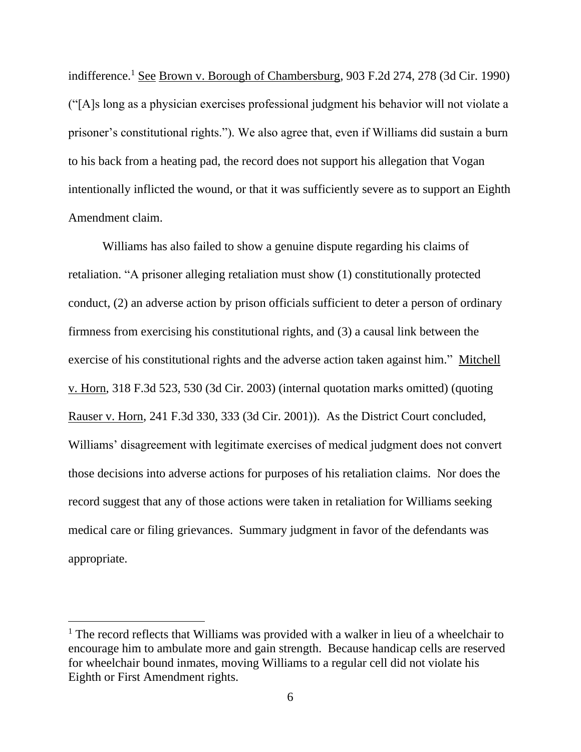indifference.<sup>1</sup> See Brown v. Borough of Chambersburg, 903 F.2d 274, 278 (3d Cir. 1990) ("[A]s long as a physician exercises professional judgment his behavior will not violate a prisoner's constitutional rights."). We also agree that, even if Williams did sustain a burn to his back from a heating pad, the record does not support his allegation that Vogan intentionally inflicted the wound, or that it was sufficiently severe as to support an Eighth Amendment claim.

Williams has also failed to show a genuine dispute regarding his claims of retaliation. "A prisoner alleging retaliation must show (1) constitutionally protected conduct, (2) an adverse action by prison officials sufficient to deter a person of ordinary firmness from exercising his constitutional rights, and (3) a causal link between the exercise of his constitutional rights and the adverse action taken against him." Mitchell v. Horn, 318 F.3d 523, 530 (3d Cir. 2003) (internal quotation marks omitted) (quoting Rauser v. Horn, 241 F.3d 330, 333 (3d Cir. 2001)). As the District Court concluded, Williams' disagreement with legitimate exercises of medical judgment does not convert those decisions into adverse actions for purposes of his retaliation claims. Nor does the record suggest that any of those actions were taken in retaliation for Williams seeking medical care or filing grievances. Summary judgment in favor of the defendants was appropriate.

 $<sup>1</sup>$  The record reflects that Williams was provided with a walker in lieu of a wheelchair to</sup> encourage him to ambulate more and gain strength. Because handicap cells are reserved for wheelchair bound inmates, moving Williams to a regular cell did not violate his Eighth or First Amendment rights.